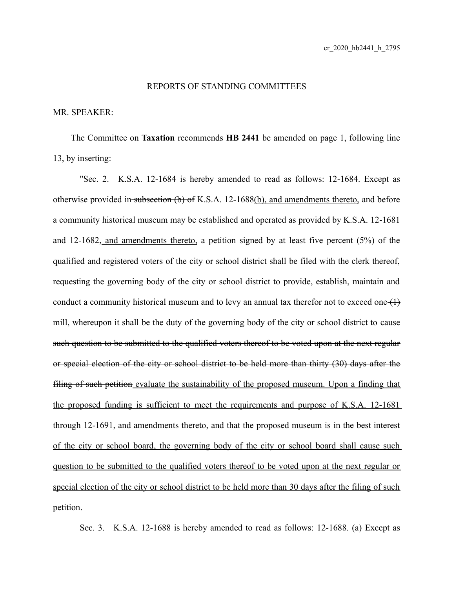## REPORTS OF STANDING COMMITTEES

## MR. SPEAKER:

The Committee on **Taxation** recommends **HB 2441** be amended on page 1, following line 13, by inserting:

"Sec. 2. K.S.A. 12-1684 is hereby amended to read as follows: 12-1684. Except as otherwise provided in subsection (b) of K.S.A. 12-1688(b), and amendments thereto, and before a community historical museum may be established and operated as provided by K.S.A. 12-1681 and 12-1682, and amendments thereto, a petition signed by at least five percent  $(5%)$  of the qualified and registered voters of the city or school district shall be filed with the clerk thereof, requesting the governing body of the city or school district to provide, establish, maintain and conduct a community historical museum and to levy an annual tax therefor not to exceed one  $(1)$ mill, whereupon it shall be the duty of the governing body of the city or school district to eause such question to be submitted to the qualified voters thereof to be voted upon at the next regular or special election of the city or school district to be held more than thirty (30) days after the filing of such petition evaluate the sustainability of the proposed museum. Upon a finding that the proposed funding is sufficient to meet the requirements and purpose of K.S.A. 12-1681 through 12-1691, and amendments thereto, and that the proposed museum is in the best interest of the city or school board, the governing body of the city or school board shall cause such question to be submitted to the qualified voters thereof to be voted upon at the next regular or special election of the city or school district to be held more than 30 days after the filing of such petition.

Sec. 3. K.S.A. 12-1688 is hereby amended to read as follows: 12-1688. (a) Except as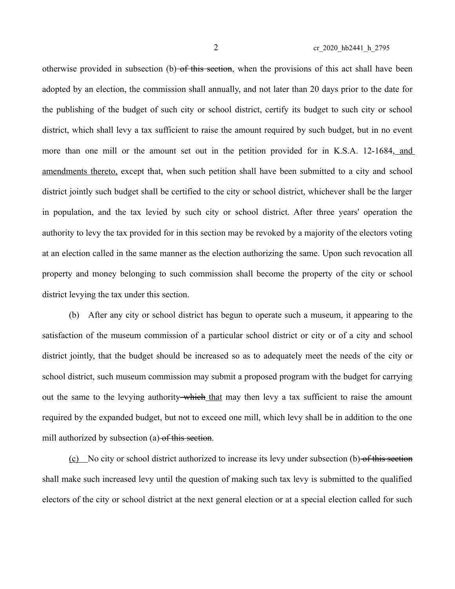otherwise provided in subsection (b) of this section, when the provisions of this act shall have been adopted by an election, the commission shall annually, and not later than 20 days prior to the date for the publishing of the budget of such city or school district, certify its budget to such city or school district, which shall levy a tax sufficient to raise the amount required by such budget, but in no event more than one mill or the amount set out in the petition provided for in K.S.A. 12-1684, and amendments thereto, except that, when such petition shall have been submitted to a city and school district jointly such budget shall be certified to the city or school district, whichever shall be the larger in population, and the tax levied by such city or school district. After three years' operation the authority to levy the tax provided for in this section may be revoked by a majority of the electors voting at an election called in the same manner as the election authorizing the same. Upon such revocation all property and money belonging to such commission shall become the property of the city or school district levying the tax under this section.

(b) After any city or school district has begun to operate such a museum, it appearing to the satisfaction of the museum commission of a particular school district or city or of a city and school district jointly, that the budget should be increased so as to adequately meet the needs of the city or school district, such museum commission may submit a proposed program with the budget for carrying out the same to the levying authority which that may then levy a tax sufficient to raise the amount required by the expanded budget, but not to exceed one mill, which levy shall be in addition to the one mill authorized by subsection (a) of this section.

(c) No city or school district authorized to increase its levy under subsection (b) of this section shall make such increased levy until the question of making such tax levy is submitted to the qualified electors of the city or school district at the next general election or at a special election called for such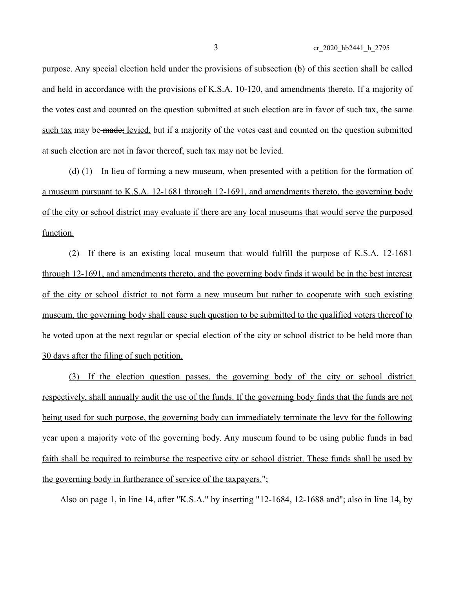3 cr\_2020\_hb2441\_h\_2795

purpose. Any special election held under the provisions of subsection (b) of this section shall be called and held in accordance with the provisions of K.S.A. 10-120, and amendments thereto. If a majority of the votes cast and counted on the question submitted at such election are in favor of such tax, the same such tax may be made; levied, but if a majority of the votes cast and counted on the question submitted at such election are not in favor thereof, such tax may not be levied.

 ( d) (1) In lieu of forming a new museum, when presented with a petition for the formation of a museum pursuant to K.S.A. 12-1681 through 12-1691, and amendments thereto, the governing body of the city or school district may evaluate if there are any local museums that would serve the purposed function.

(2) If there is an existing local museum that would fulfill the purpose of K.S.A. 12-1681 through 12-1691, and amendments thereto, and the governing body finds it would be in the best interest of the city or school district to not form a new museum but rather to cooperate with such existing museum, the governing body shall cause such question to be submitted to the qualified voters thereof to be voted upon at the next regular or special election of the city or school district to be held more than 30 days after the filing of such petition.

(3) If the election question passes, the governing body of the city or school district respectively, shall annually audit the use of the funds. If the governing body finds that the funds are not being used for such purpose, the governing body can immediately terminate the levy for the following year upon a majority vote of the governing body. Any museum found to be using public funds in bad faith shall be required to reimburse the respective city or school district. These funds shall be used by the governing body in furtherance of service of the taxpayers.";

Also on page 1, in line 14, after "K.S.A." by inserting "12-1684, 12-1688 and"; also in line 14, by